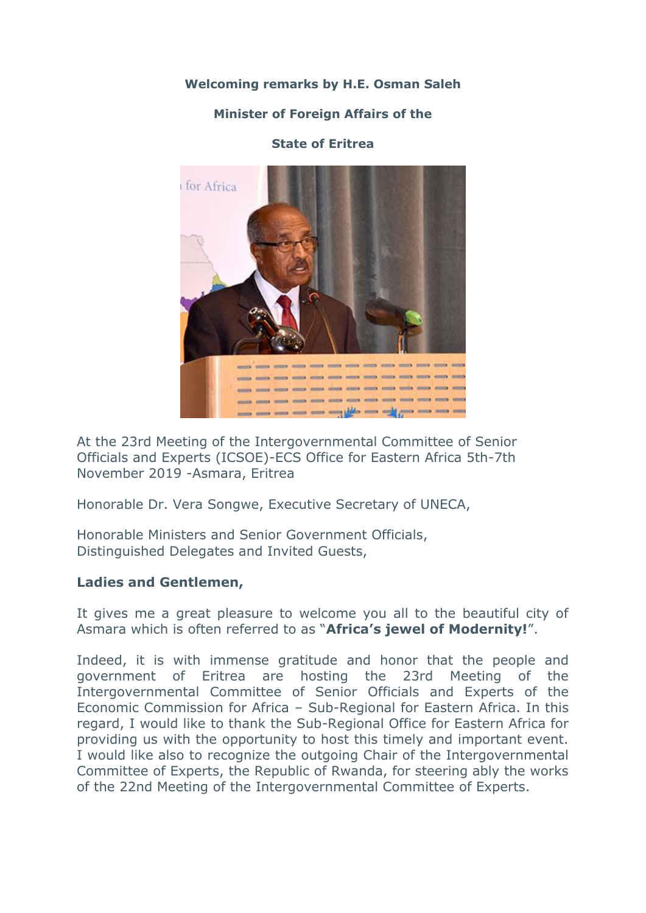**Welcoming remarks by H.E. Osman Saleh**

#### **Minister of Foreign Affairs of the**

#### **State of Eritrea**



At the 23rd Meeting of the Intergovernmental Committee of Senior Officials and Experts (ICSOE)-ECS Office for Eastern Africa 5th-7th November 2019 -Asmara, Eritrea

Honorable Dr. Vera Songwe, Executive Secretary of UNECA,

Honorable Ministers and Senior Government Officials, Distinguished Delegates and Invited Guests,

## **Ladies and Gentlemen,**

It gives me a great pleasure to welcome you all to the beautiful city of Asmara which is often referred to as "**Africa's jewel of Modernity!**".

Indeed, it is with immense gratitude and honor that the people and government of Eritrea are hosting the 23rd Meeting of the Intergovernmental Committee of Senior Officials and Experts of the Economic Commission for Africa – Sub-Regional for Eastern Africa. In this regard, I would like to thank the Sub-Regional Office for Eastern Africa for providing us with the opportunity to host this timely and important event. I would like also to recognize the outgoing Chair of the Intergovernmental Committee of Experts, the Republic of Rwanda, for steering ably the works of the 22nd Meeting of the Intergovernmental Committee of Experts.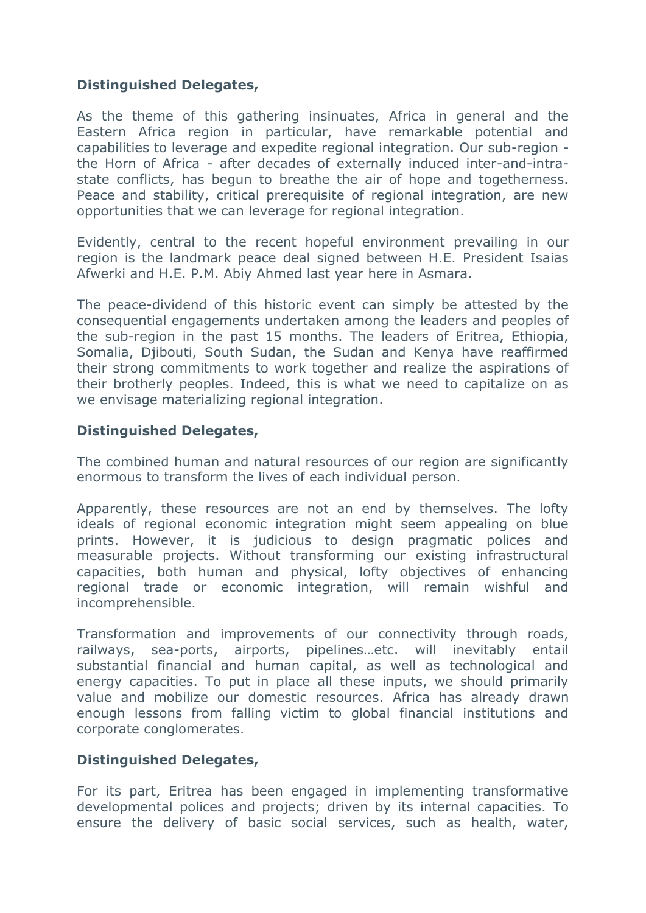## **Distinguished Delegates,**

As the theme of this gathering insinuates, Africa in general and the Eastern Africa region in particular, have remarkable potential and capabilities to leverage and expedite regional integration. Our sub-region the Horn of Africa - after decades of externally induced inter-and-intrastate conflicts, has begun to breathe the air of hope and togetherness. Peace and stability, critical prerequisite of regional integration, are new opportunities that we can leverage for regional integration.

Evidently, central to the recent hopeful environment prevailing in our region is the landmark peace deal signed between H.E. President Isaias Afwerki and H.E. P.M. Abiy Ahmed last year here in Asmara.

The peace-dividend of this historic event can simply be attested by the consequential engagements undertaken among the leaders and peoples of the sub-region in the past 15 months. The leaders of Eritrea, Ethiopia, Somalia, Djibouti, South Sudan, the Sudan and Kenya have reaffirmed their strong commitments to work together and realize the aspirations of their brotherly peoples. Indeed, this is what we need to capitalize on as we envisage materializing regional integration.

## **Distinguished Delegates,**

The combined human and natural resources of our region are significantly enormous to transform the lives of each individual person.

Apparently, these resources are not an end by themselves. The lofty ideals of regional economic integration might seem appealing on blue prints. However, it is judicious to design pragmatic polices and measurable projects. Without transforming our existing infrastructural capacities, both human and physical, lofty objectives of enhancing regional trade or economic integration, will remain wishful and incomprehensible.

Transformation and improvements of our connectivity through roads, railways, sea-ports, airports, pipelines…etc. will inevitably entail substantial financial and human capital, as well as technological and energy capacities. To put in place all these inputs, we should primarily value and mobilize our domestic resources. Africa has already drawn enough lessons from falling victim to global financial institutions and corporate conglomerates.

## **Distinguished Delegates,**

For its part, Eritrea has been engaged in implementing transformative developmental polices and projects; driven by its internal capacities. To ensure the delivery of basic social services, such as health, water,